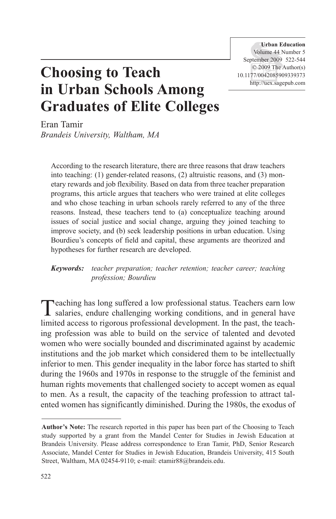**Urban Education** Volume 44 Number 5 September 2009 522-544 © 2009 The Author(s) 10.1177/0042085909339373 http://uex.sagepub.com

# **Choosing to Teach in Urban Schools Among Graduates of Elite Colleges**

Eran Tamir *Brandeis University, Waltham, MA*

According to the research literature, there are three reasons that draw teachers into teaching: (1) gender-related reasons, (2) altruistic reasons, and (3) monetary rewards and job flexibility. Based on data from three teacher preparation programs, this article argues that teachers who were trained at elite colleges and who chose teaching in urban schools rarely referred to any of the three reasons. Instead, these teachers tend to (a) conceptualize teaching around issues of social justice and social change, arguing they joined teaching to improve society, and (b) seek leadership positions in urban education. Using Bourdieu's concepts of field and capital, these arguments are theorized and hypotheses for further research are developed.

*Keywords: teacher preparation; teacher retention; teacher career; teaching profession; Bourdieu*

Teaching has long suffered a low professional status. Teachers earn low salaries, endure challenging working conditions, and in general have limited access to rigorous professional development. In the past, the teaching profession was able to build on the service of talented and devoted women who were socially bounded and discriminated against by academic institutions and the job market which considered them to be intellectually inferior to men. This gender inequality in the labor force has started to shift during the 1960s and 1970s in response to the struggle of the feminist and human rights movements that challenged society to accept women as equal to men. As a result, the capacity of the teaching profession to attract talented women has significantly diminished. During the 1980s, the exodus of

**Author's Note:** The research reported in this paper has been part of the Choosing to Teach study supported by a grant from the Mandel Center for Studies in Jewish Education at Brandeis University. Please address correspondence to Eran Tamir, PhD, Senior Research Associate, Mandel Center for Studies in Jewish Education, Brandeis University, 415 South Street, Waltham, MA 02454-9110; e-mail: etamir88@brandeis.edu.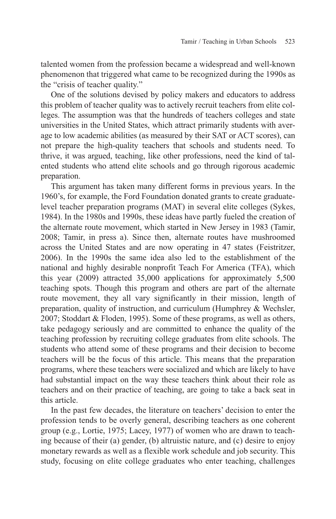talented women from the profession became a widespread and well-known phenomenon that triggered what came to be recognized during the 1990s as the "crisis of teacher quality."

One of the solutions devised by policy makers and educators to address this problem of teacher quality was to actively recruit teachers from elite colleges. The assumption was that the hundreds of teachers colleges and state universities in the United States, which attract primarily students with average to low academic abilities (as measured by their SAT or ACT scores), can not prepare the high-quality teachers that schools and students need. To thrive, it was argued, teaching, like other professions, need the kind of talented students who attend elite schools and go through rigorous academic preparation.

This argument has taken many different forms in previous years. In the 1960's, for example, the Ford Foundation donated grants to create graduatelevel teacher preparation programs (MAT) in several elite colleges (Sykes, 1984). In the 1980s and 1990s, these ideas have partly fueled the creation of the alternate route movement, which started in New Jersey in 1983 (Tamir, 2008; Tamir, in press a). Since then, alternate routes have mushroomed across the United States and are now operating in 47 states (Feistritzer, 2006). In the 1990s the same idea also led to the establishment of the national and highly desirable nonprofit Teach For America (TFA), which this year (2009) attracted 35,000 applications for approximately 5,500 teaching spots. Though this program and others are part of the alternate route movement, they all vary significantly in their mission, length of preparation, quality of instruction, and curriculum (Humphrey & Wechsler, 2007; Stoddart & Floden, 1995). Some of these programs, as well as others, take pedagogy seriously and are committed to enhance the quality of the teaching profession by recruiting college graduates from elite schools. The students who attend some of these programs and their decision to become teachers will be the focus of this article. This means that the preparation programs, where these teachers were socialized and which are likely to have had substantial impact on the way these teachers think about their role as teachers and on their practice of teaching, are going to take a back seat in this article.

In the past few decades, the literature on teachers' decision to enter the profession tends to be overly general, describing teachers as one coherent group (e.g., Lortie, 1975; Lacey, 1977) of women who are drawn to teaching because of their (a) gender, (b) altruistic nature, and (c) desire to enjoy monetary rewards as well as a flexible work schedule and job security. This study, focusing on elite college graduates who enter teaching, challenges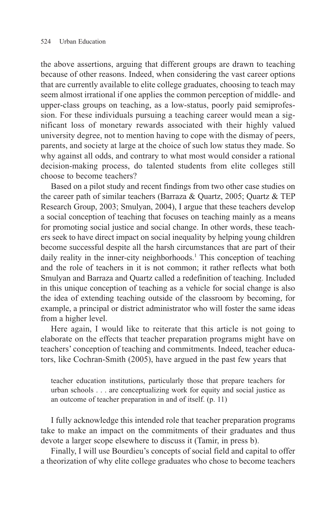the above assertions, arguing that different groups are drawn to teaching because of other reasons. Indeed, when considering the vast career options that are currently available to elite college graduates, choosing to teach may seem almost irrational if one applies the common perception of middle- and upper-class groups on teaching, as a low-status, poorly paid semiprofession. For these individuals pursuing a teaching career would mean a significant loss of monetary rewards associated with their highly valued university degree, not to mention having to cope with the dismay of peers, parents, and society at large at the choice of such low status they made. So why against all odds, and contrary to what most would consider a rational decision-making process, do talented students from elite colleges still choose to become teachers?

Based on a pilot study and recent findings from two other case studies on the career path of similar teachers (Barraza & Quartz, 2005; Quartz & TEP Research Group, 2003; Smulyan, 2004), I argue that these teachers develop a social conception of teaching that focuses on teaching mainly as a means for promoting social justice and social change. In other words, these teachers seek to have direct impact on social inequality by helping young children become successful despite all the harsh circumstances that are part of their daily reality in the inner-city neighborhoods.<sup>1</sup> This conception of teaching and the role of teachers in it is not common; it rather reflects what both Smulyan and Barraza and Quartz called a redefinition of teaching. Included in this unique conception of teaching as a vehicle for social change is also the idea of extending teaching outside of the classroom by becoming, for example, a principal or district administrator who will foster the same ideas from a higher level.

Here again, I would like to reiterate that this article is not going to elaborate on the effects that teacher preparation programs might have on teachers' conception of teaching and commitments. Indeed, teacher educators, like Cochran-Smith (2005), have argued in the past few years that

teacher education institutions, particularly those that prepare teachers for urban schools . . . are conceptualizing work for equity and social justice as an outcome of teacher preparation in and of itself. (p. 11)

I fully acknowledge this intended role that teacher preparation programs take to make an impact on the commitments of their graduates and thus devote a larger scope elsewhere to discuss it (Tamir, in press b).

Finally, I will use Bourdieu's concepts of social field and capital to offer a theorization of why elite college graduates who chose to become teachers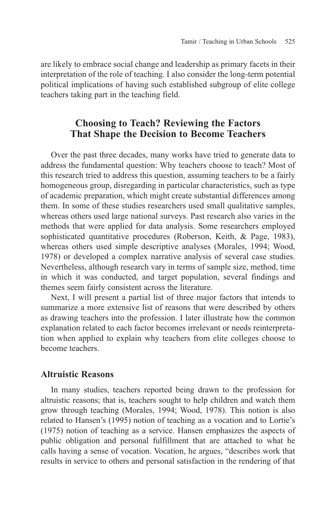are likely to embrace social change and leadership as primary facets in their interpretation of the role of teaching. I also consider the long-term potential political implications of having such established subgroup of elite college teachers taking part in the teaching field.

## **Choosing to Teach? Reviewing the Factors That Shape the Decision to Become Teachers**

Over the past three decades, many works have tried to generate data to address the fundamental question: Why teachers choose to teach? Most of this research tried to address this question, assuming teachers to be a fairly homogeneous group, disregarding in particular characteristics, such as type of academic preparation, which might create substantial differences among them. In some of these studies researchers used small qualitative samples, whereas others used large national surveys. Past research also varies in the methods that were applied for data analysis. Some researchers employed sophisticated quantitative procedures (Roberson, Keith, & Page, 1983), whereas others used simple descriptive analyses (Morales, 1994; Wood, 1978) or developed a complex narrative analysis of several case studies. Nevertheless, although research vary in terms of sample size, method, time in which it was conducted, and target population, several findings and themes seem fairly consistent across the literature.

Next, I will present a partial list of three major factors that intends to summarize a more extensive list of reasons that were described by others as drawing teachers into the profession. I later illustrate how the common explanation related to each factor becomes irrelevant or needs reinterpretation when applied to explain why teachers from elite colleges choose to become teachers.

#### **Altruistic Reasons**

In many studies, teachers reported being drawn to the profession for altruistic reasons; that is, teachers sought to help children and watch them grow through teaching (Morales, 1994; Wood, 1978). This notion is also related to Hansen's (1995) notion of teaching as a vocation and to Lortie's (1975) notion of teaching as a service. Hansen emphasizes the aspects of public obligation and personal fulfillment that are attached to what he calls having a sense of vocation. Vocation, he argues, "describes work that results in service to others and personal satisfaction in the rendering of that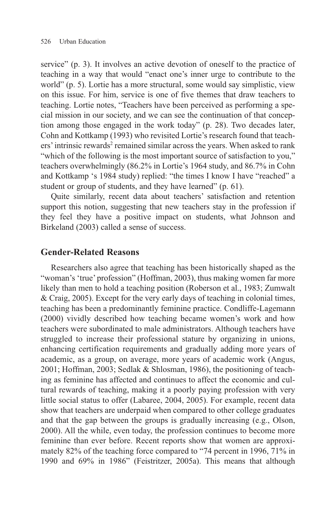service" (p. 3). It involves an active devotion of oneself to the practice of teaching in a way that would "enact one's inner urge to contribute to the world" (p. 5). Lortie has a more structural, some would say simplistic, view on this issue. For him, service is one of five themes that draw teachers to teaching. Lortie notes, "Teachers have been perceived as performing a special mission in our society, and we can see the continuation of that conception among those engaged in the work today" (p. 28). Two decades later, Cohn and Kottkamp (1993) who revisited Lortie's research found that teachers' intrinsic rewards<sup>2</sup> remained similar across the years. When asked to rank "which of the following is the most important source of satisfaction to you," teachers overwhelmingly (86.2% in Lortie's 1964 study, and 86.7% in Cohn and Kottkamp 's 1984 study) replied: "the times I know I have "reached" a student or group of students, and they have learned" (p. 61).

Quite similarly, recent data about teachers' satisfaction and retention support this notion, suggesting that new teachers stay in the profession if they feel they have a positive impact on students, what Johnson and Birkeland (2003) called a sense of success.

#### **Gender-Related Reasons**

Researchers also agree that teaching has been historically shaped as the "woman's 'true' profession" (Hoffman, 2003), thus making women far more likely than men to hold a teaching position (Roberson et al., 1983; Zumwalt & Craig, 2005). Except for the very early days of teaching in colonial times, teaching has been a predominantly feminine practice. Condliffe-Lagemann (2000) vividly described how teaching became women's work and how teachers were subordinated to male administrators. Although teachers have struggled to increase their professional stature by organizing in unions, enhancing certification requirements and gradually adding more years of academic, as a group, on average, more years of academic work (Angus, 2001; Hoffman, 2003; Sedlak & Shlosman, 1986), the positioning of teaching as feminine has affected and continues to affect the economic and cultural rewards of teaching, making it a poorly paying profession with very little social status to offer (Labaree, 2004, 2005). For example, recent data show that teachers are underpaid when compared to other college graduates and that the gap between the groups is gradually increasing (e.g., Olson, 2000). All the while, even today, the profession continues to become more feminine than ever before. Recent reports show that women are approximately 82% of the teaching force compared to "74 percent in 1996, 71% in 1990 and 69% in 1986" (Feistritzer, 2005a). This means that although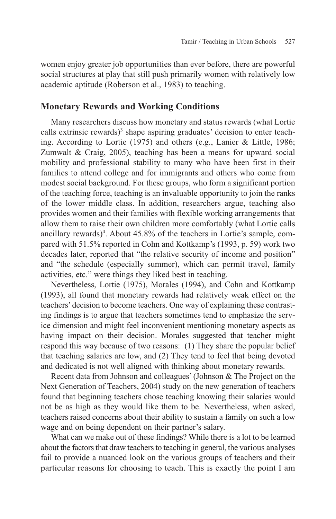women enjoy greater job opportunities than ever before, there are powerful social structures at play that still push primarily women with relatively low academic aptitude (Roberson et al., 1983) to teaching.

#### **Monetary Rewards and Working Conditions**

Many researchers discuss how monetary and status rewards (what Lortie calls extrinsic rewards)<sup>3</sup> shape aspiring graduates' decision to enter teaching. According to Lortie (1975) and others (e.g., Lanier & Little, 1986; Zumwalt & Craig, 2005), teaching has been a means for upward social mobility and professional stability to many who have been first in their families to attend college and for immigrants and others who come from modest social background. For these groups, who form a significant portion of the teaching force, teaching is an invaluable opportunity to join the ranks of the lower middle class. In addition, researchers argue, teaching also provides women and their families with flexible working arrangements that allow them to raise their own children more comfortably (what Lortie calls ancillary rewards)<sup>4</sup>. About 45.8% of the teachers in Lortie's sample, compared with 51.5% reported in Cohn and Kottkamp's (1993, p. 59) work two decades later, reported that "the relative security of income and position" and "the schedule (especially summer), which can permit travel, family activities, etc." were things they liked best in teaching.

Nevertheless, Lortie (1975), Morales (1994), and Cohn and Kottkamp (1993), all found that monetary rewards had relatively weak effect on the teachers' decision to become teachers. One way of explaining these contrasting findings is to argue that teachers sometimes tend to emphasize the service dimension and might feel inconvenient mentioning monetary aspects as having impact on their decision. Morales suggested that teacher might respond this way because of two reasons: (1) They share the popular belief that teaching salaries are low, and (2) They tend to feel that being devoted and dedicated is not well aligned with thinking about monetary rewards.

Recent data from Johnson and colleagues' (Johnson & The Project on the Next Generation of Teachers, 2004) study on the new generation of teachers found that beginning teachers chose teaching knowing their salaries would not be as high as they would like them to be. Nevertheless, when asked, teachers raised concerns about their ability to sustain a family on such a low wage and on being dependent on their partner's salary.

What can we make out of these findings? While there is a lot to be learned about the factors that draw teachers to teaching in general, the various analyses fail to provide a nuanced look on the various groups of teachers and their particular reasons for choosing to teach. This is exactly the point I am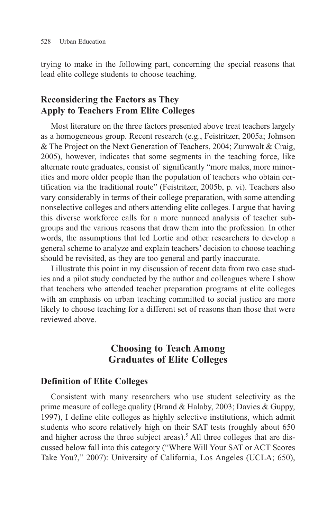trying to make in the following part, concerning the special reasons that lead elite college students to choose teaching.

## **Reconsidering the Factors as They Apply to Teachers From Elite Colleges**

Most literature on the three factors presented above treat teachers largely as a homogeneous group. Recent research (e.g., Feistritzer, 2005a; Johnson & The Project on the Next Generation of Teachers, 2004; Zumwalt & Craig, 2005), however, indicates that some segments in the teaching force, like alternate route graduates, consist of significantly "more males, more minorities and more older people than the population of teachers who obtain certification via the traditional route" (Feistritzer, 2005b, p. vi). Teachers also vary considerably in terms of their college preparation, with some attending nonselective colleges and others attending elite colleges. I argue that having this diverse workforce calls for a more nuanced analysis of teacher subgroups and the various reasons that draw them into the profession. In other words, the assumptions that led Lortie and other researchers to develop a general scheme to analyze and explain teachers' decision to choose teaching should be revisited, as they are too general and partly inaccurate.

I illustrate this point in my discussion of recent data from two case studies and a pilot study conducted by the author and colleagues where I show that teachers who attended teacher preparation programs at elite colleges with an emphasis on urban teaching committed to social justice are more likely to choose teaching for a different set of reasons than those that were reviewed above.

## **Choosing to Teach Among Graduates of Elite Colleges**

#### **Definition of Elite Colleges**

Consistent with many researchers who use student selectivity as the prime measure of college quality (Brand & Halaby, 2003; Davies & Guppy, 1997), I define elite colleges as highly selective institutions, which admit students who score relatively high on their SAT tests (roughly about 650 and higher across the three subject areas).<sup>5</sup> All three colleges that are discussed below fall into this category ("Where Will Your SAT or ACT Scores Take You?," 2007): University of California, Los Angeles (UCLA; 650),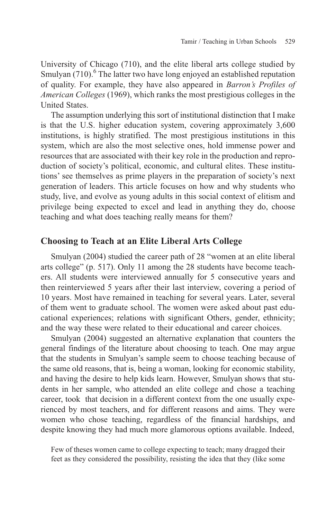University of Chicago (710), and the elite liberal arts college studied by Smulyan (710).<sup>6</sup> The latter two have long enjoyed an established reputation of quality. For example, they have also appeared in *Barron's Profiles of American Colleges* (1969), which ranks the most prestigious colleges in the United States.

The assumption underlying this sort of institutional distinction that I make is that the U.S. higher education system, covering approximately 3,600 institutions, is highly stratified. The most prestigious institutions in this system, which are also the most selective ones, hold immense power and resources that are associated with their key role in the production and reproduction of society's political, economic, and cultural elites. These institutions' see themselves as prime players in the preparation of society's next generation of leaders. This article focuses on how and why students who study, live, and evolve as young adults in this social context of elitism and privilege being expected to excel and lead in anything they do, choose teaching and what does teaching really means for them?

#### **Choosing to Teach at an Elite Liberal Arts College**

Smulyan (2004) studied the career path of 28 "women at an elite liberal arts college" (p. 517). Only 11 among the 28 students have become teachers. All students were interviewed annually for 5 consecutive years and then reinterviewed 5 years after their last interview, covering a period of 10 years. Most have remained in teaching for several years. Later, several of them went to graduate school. The women were asked about past educational experiences; relations with significant Others, gender, ethnicity; and the way these were related to their educational and career choices.

Smulyan (2004) suggested an alternative explanation that counters the general findings of the literature about choosing to teach. One may argue that the students in Smulyan's sample seem to choose teaching because of the same old reasons, that is, being a woman, looking for economic stability, and having the desire to help kids learn. However, Smulyan shows that students in her sample, who attended an elite college and chose a teaching career, took that decision in a different context from the one usually experienced by most teachers, and for different reasons and aims. They were women who chose teaching, regardless of the financial hardships, and despite knowing they had much more glamorous options available. Indeed,

Few of theses women came to college expecting to teach; many dragged their feet as they considered the possibility, resisting the idea that they (like some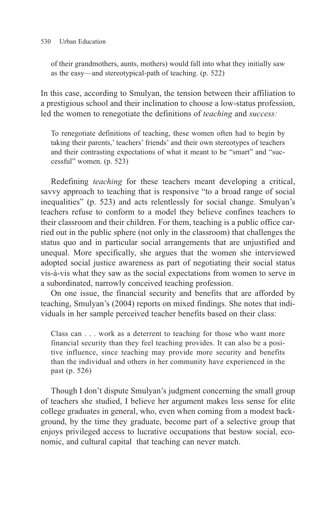#### 530 Urban Education

of their grandmothers, aunts, mothers) would fall into what they initially saw as the easy—and stereotypical-path of teaching. (p. 522)

In this case, according to Smulyan, the tension between their affiliation to a prestigious school and their inclination to choose a low-status profession, led the women to renegotiate the definitions of *teaching* and *success:*

To renegotiate definitions of teaching, these women often had to begin by taking their parents,' teachers' friends' and their own stereotypes of teachers and their contrasting expectations of what it meant to be "smart" and "successful" women. (p. 523)

Redefining *teaching* for these teachers meant developing a critical, savvy approach to teaching that is responsive "to a broad range of social inequalities" (p. 523) and acts relentlessly for social change. Smulyan's teachers refuse to conform to a model they believe confines teachers to their classroom and their children. For them, teaching is a public office carried out in the public sphere (not only in the classroom) that challenges the status quo and in particular social arrangements that are unjustified and unequal. More specifically, she argues that the women she interviewed adopted social justice awareness as part of negotiating their social status vis-à-vis what they saw as the social expectations from women to serve in a subordinated, narrowly conceived teaching profession.

On one issue, the financial security and benefits that are afforded by teaching, Smulyan's (2004) reports on mixed findings. She notes that individuals in her sample perceived teacher benefits based on their class:

Class can . . . work as a deterrent to teaching for those who want more financial security than they feel teaching provides. It can also be a positive influence, since teaching may provide more security and benefits than the individual and others in her community have experienced in the past (p. 526)

Though I don't dispute Smulyan's judgment concerning the small group of teachers she studied, I believe her argument makes less sense for elite college graduates in general, who, even when coming from a modest background, by the time they graduate, become part of a selective group that enjoys privileged access to lucrative occupations that bestow social, economic, and cultural capital that teaching can never match.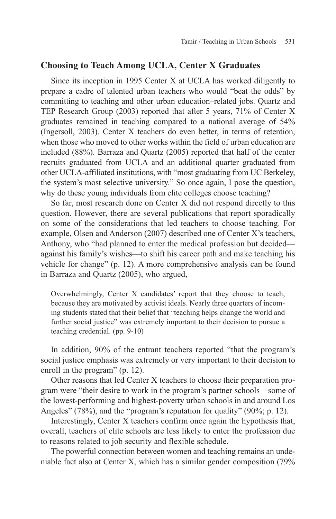#### **Choosing to Teach Among UCLA, Center X Graduates**

Since its inception in 1995 Center X at UCLA has worked diligently to prepare a cadre of talented urban teachers who would "beat the odds" by committing to teaching and other urban education–related jobs. Quartz and TEP Research Group (2003) reported that after 5 years, 71% of Center X graduates remained in teaching compared to a national average of 54% (Ingersoll, 2003). Center X teachers do even better, in terms of retention, when those who moved to other works within the field of urban education are included (88%). Barraza and Quartz (2005) reported that half of the center recruits graduated from UCLA and an additional quarter graduated from other UCLA-affiliated institutions, with "most graduating from UC Berkeley, the system's most selective university." So once again, I pose the question, why do these young individuals from elite colleges choose teaching?

So far, most research done on Center X did not respond directly to this question. However, there are several publications that report sporadically on some of the considerations that led teachers to choose teaching. For example, Olsen and Anderson (2007) described one of Center X's teachers, Anthony, who "had planned to enter the medical profession but decided against his family's wishes—to shift his career path and make teaching his vehicle for change" (p. 12). A more comprehensive analysis can be found in Barraza and Quartz (2005), who argued,

Overwhelmingly, Center X candidates' report that they choose to teach, because they are motivated by activist ideals. Nearly three quarters of incoming students stated that their belief that "teaching helps change the world and further social justice" was extremely important to their decision to pursue a teaching credential. (pp. 9-10)

In addition, 90% of the entrant teachers reported "that the program's social justice emphasis was extremely or very important to their decision to enroll in the program" (p. 12).

Other reasons that led Center X teachers to choose their preparation program were "their desire to work in the program's partner schools—some of the lowest-performing and highest-poverty urban schools in and around Los Angeles" (78%), and the "program's reputation for quality" (90%; p. 12).

Interestingly, Center X teachers confirm once again the hypothesis that, overall, teachers of elite schools are less likely to enter the profession due to reasons related to job security and flexible schedule.

The powerful connection between women and teaching remains an undeniable fact also at Center X, which has a similar gender composition (79%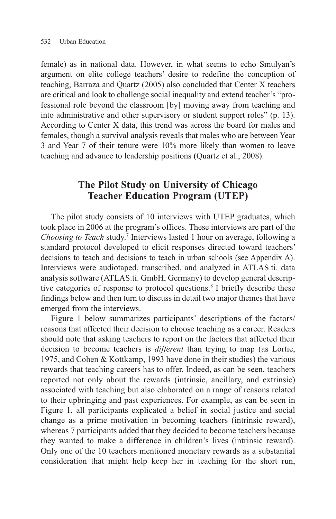female) as in national data. However, in what seems to echo Smulyan's argument on elite college teachers' desire to redefine the conception of teaching, Barraza and Quartz (2005) also concluded that Center X teachers are critical and look to challenge social inequality and extend teacher's "professional role beyond the classroom [by] moving away from teaching and into administrative and other supervisory or student support roles" (p. 13). According to Center X data, this trend was across the board for males and females, though a survival analysis reveals that males who are between Year 3 and Year 7 of their tenure were 10% more likely than women to leave teaching and advance to leadership positions (Quartz et al., 2008).

## **The Pilot Study on University of Chicago Teacher Education Program (UTEP)**

The pilot study consists of 10 interviews with UTEP graduates, which took place in 2006 at the program's offices. These interviews are part of the Choosing to Teach study.<sup>7</sup> Interviews lasted 1 hour on average, following a standard protocol developed to elicit responses directed toward teachers' decisions to teach and decisions to teach in urban schools (see Appendix A). Interviews were audiotaped, transcribed, and analyzed in ATLAS.ti. data analysis software (ATLAS.ti. GmbH, Germany) to develop general descriptive categories of response to protocol questions.8 I briefly describe these findings below and then turn to discuss in detail two major themes that have emerged from the interviews.

Figure 1 below summarizes participants' descriptions of the factors/ reasons that affected their decision to choose teaching as a career. Readers should note that asking teachers to report on the factors that affected their decision to become teachers is *different* than trying to map (as Lortie, 1975, and Cohen & Kottkamp, 1993 have done in their studies) the various rewards that teaching careers has to offer. Indeed, as can be seen, teachers reported not only about the rewards (intrinsic, ancillary, and extrinsic) associated with teaching but also elaborated on a range of reasons related to their upbringing and past experiences. For example, as can be seen in Figure 1, all participants explicated a belief in social justice and social change as a prime motivation in becoming teachers (intrinsic reward), whereas 7 participants added that they decided to become teachers because they wanted to make a difference in children's lives (intrinsic reward). Only one of the 10 teachers mentioned monetary rewards as a substantial consideration that might help keep her in teaching for the short run,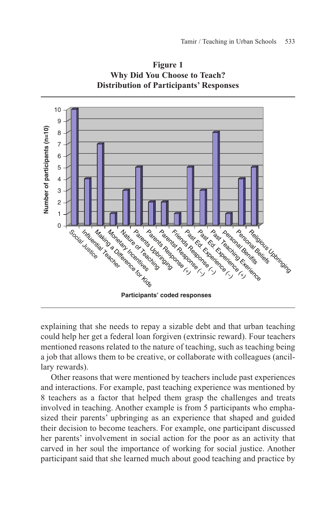

**Figure 1 Why Did You Choose to Teach? Distribution of Participants' Responses**

explaining that she needs to repay a sizable debt and that urban teaching could help her get a federal loan forgiven (extrinsic reward). Four teachers mentioned reasons related to the nature of teaching, such as teaching being a job that allows them to be creative, or collaborate with colleagues (ancillary rewards).

Other reasons that were mentioned by teachers include past experiences and interactions. For example, past teaching experience was mentioned by 8 teachers as a factor that helped them grasp the challenges and treats involved in teaching. Another example is from 5 participants who emphasized their parents' upbringing as an experience that shaped and guided their decision to become teachers. For example, one participant discussed her parents' involvement in social action for the poor as an activity that carved in her soul the importance of working for social justice. Another participant said that she learned much about good teaching and practice by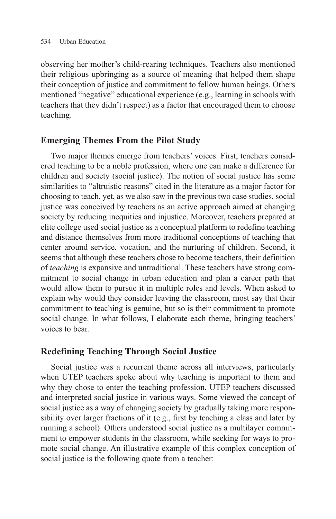observing her mother's child-rearing techniques. Teachers also mentioned their religious upbringing as a source of meaning that helped them shape their conception of justice and commitment to fellow human beings. Others mentioned "negative" educational experience (e.g., learning in schools with teachers that they didn't respect) as a factor that encouraged them to choose teaching.

#### **Emerging Themes From the Pilot Study**

Two major themes emerge from teachers' voices. First, teachers considered teaching to be a noble profession, where one can make a difference for children and society (social justice). The notion of social justice has some similarities to "altruistic reasons" cited in the literature as a major factor for choosing to teach, yet, as we also saw in the previous two case studies, social justice was conceived by teachers as an active approach aimed at changing society by reducing inequities and injustice. Moreover, teachers prepared at elite college used social justice as a conceptual platform to redefine teaching and distance themselves from more traditional conceptions of teaching that center around service, vocation, and the nurturing of children. Second, it seems that although these teachers chose to become teachers, their definition of *teaching* is expansive and untraditional. These teachers have strong commitment to social change in urban education and plan a career path that would allow them to pursue it in multiple roles and levels. When asked to explain why would they consider leaving the classroom, most say that their commitment to teaching is genuine, but so is their commitment to promote social change. In what follows, I elaborate each theme, bringing teachers' voices to bear.

#### **Redefining Teaching Through Social Justice**

Social justice was a recurrent theme across all interviews, particularly when UTEP teachers spoke about why teaching is important to them and why they chose to enter the teaching profession. UTEP teachers discussed and interpreted social justice in various ways. Some viewed the concept of social justice as a way of changing society by gradually taking more responsibility over larger fractions of it (e.g., first by teaching a class and later by running a school). Others understood social justice as a multilayer commitment to empower students in the classroom, while seeking for ways to promote social change. An illustrative example of this complex conception of social justice is the following quote from a teacher: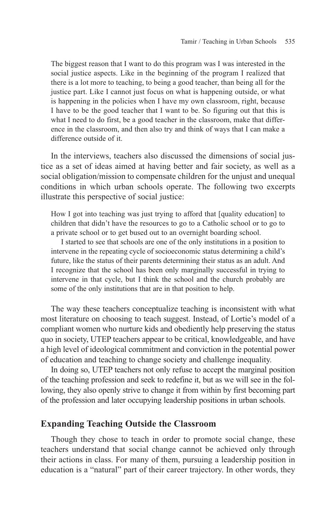The biggest reason that I want to do this program was I was interested in the social justice aspects. Like in the beginning of the program I realized that there is a lot more to teaching, to being a good teacher, than being all for the justice part. Like I cannot just focus on what is happening outside, or what is happening in the policies when I have my own classroom, right, because I have to be the good teacher that I want to be. So figuring out that this is what I need to do first, be a good teacher in the classroom, make that difference in the classroom, and then also try and think of ways that I can make a difference outside of it.

In the interviews, teachers also discussed the dimensions of social justice as a set of ideas aimed at having better and fair society, as well as a social obligation/mission to compensate children for the unjust and unequal conditions in which urban schools operate. The following two excerpts illustrate this perspective of social justice:

How I got into teaching was just trying to afford that [quality education] to children that didn't have the resources to go to a Catholic school or to go to a private school or to get bused out to an overnight boarding school.

I started to see that schools are one of the only institutions in a position to intervene in the repeating cycle of socioeconomic status determining a child's future, like the status of their parents determining their status as an adult. And I recognize that the school has been only marginally successful in trying to intervene in that cycle, but I think the school and the church probably are some of the only institutions that are in that position to help.

The way these teachers conceptualize teaching is inconsistent with what most literature on choosing to teach suggest. Instead, of Lortie's model of a compliant women who nurture kids and obediently help preserving the status quo in society, UTEP teachers appear to be critical, knowledgeable, and have a high level of ideological commitment and conviction in the potential power of education and teaching to change society and challenge inequality.

In doing so, UTEP teachers not only refuse to accept the marginal position of the teaching profession and seek to redefine it, but as we will see in the following, they also openly strive to change it from within by first becoming part of the profession and later occupying leadership positions in urban schools.

### **Expanding Teaching Outside the Classroom**

Though they chose to teach in order to promote social change, these teachers understand that social change cannot be achieved only through their actions in class. For many of them, pursuing a leadership position in education is a "natural" part of their career trajectory. In other words, they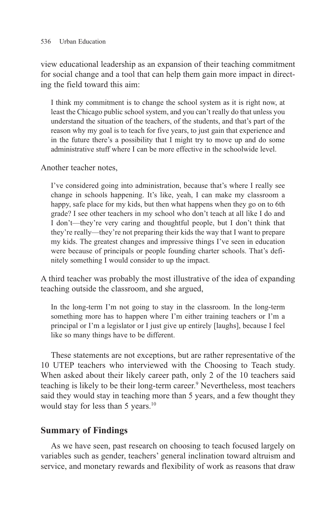view educational leadership as an expansion of their teaching commitment for social change and a tool that can help them gain more impact in directing the field toward this aim:

I think my commitment is to change the school system as it is right now, at least the Chicago public school system, and you can't really do that unless you understand the situation of the teachers, of the students, and that's part of the reason why my goal is to teach for five years, to just gain that experience and in the future there's a possibility that I might try to move up and do some administrative stuff where I can be more effective in the schoolwide level.

Another teacher notes,

I've considered going into administration, because that's where I really see change in schools happening. It's like, yeah, I can make my classroom a happy, safe place for my kids, but then what happens when they go on to 6th grade? I see other teachers in my school who don't teach at all like I do and I don't—they're very caring and thoughtful people, but I don't think that they're really—they're not preparing their kids the way that I want to prepare my kids. The greatest changes and impressive things I've seen in education were because of principals or people founding charter schools. That's definitely something I would consider to up the impact.

A third teacher was probably the most illustrative of the idea of expanding teaching outside the classroom, and she argued,

In the long-term I'm not going to stay in the classroom. In the long-term something more has to happen where I'm either training teachers or I'm a principal or I'm a legislator or I just give up entirely [laughs], because I feel like so many things have to be different.

These statements are not exceptions, but are rather representative of the 10 UTEP teachers who interviewed with the Choosing to Teach study. When asked about their likely career path, only 2 of the 10 teachers said teaching is likely to be their long-term career.<sup>9</sup> Nevertheless, most teachers said they would stay in teaching more than 5 years, and a few thought they would stay for less than 5 years.<sup>10</sup>

## **Summary of Findings**

As we have seen, past research on choosing to teach focused largely on variables such as gender, teachers' general inclination toward altruism and service, and monetary rewards and flexibility of work as reasons that draw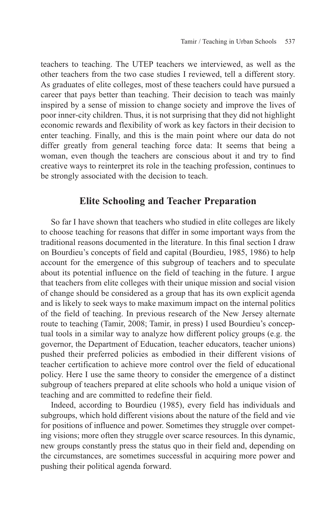teachers to teaching. The UTEP teachers we interviewed, as well as the other teachers from the two case studies I reviewed, tell a different story. As graduates of elite colleges, most of these teachers could have pursued a career that pays better than teaching. Their decision to teach was mainly inspired by a sense of mission to change society and improve the lives of poor inner-city children. Thus, it is not surprising that they did not highlight economic rewards and flexibility of work as key factors in their decision to enter teaching. Finally, and this is the main point where our data do not differ greatly from general teaching force data: It seems that being a woman, even though the teachers are conscious about it and try to find creative ways to reinterpret its role in the teaching profession, continues to be strongly associated with the decision to teach.

### **Elite Schooling and Teacher Preparation**

So far I have shown that teachers who studied in elite colleges are likely to choose teaching for reasons that differ in some important ways from the traditional reasons documented in the literature. In this final section I draw on Bourdieu's concepts of field and capital (Bourdieu, 1985, 1986) to help account for the emergence of this subgroup of teachers and to speculate about its potential influence on the field of teaching in the future. I argue that teachers from elite colleges with their unique mission and social vision of change should be considered as a group that has its own explicit agenda and is likely to seek ways to make maximum impact on the internal politics of the field of teaching. In previous research of the New Jersey alternate route to teaching (Tamir, 2008; Tamir, in press) I used Bourdieu's conceptual tools in a similar way to analyze how different policy groups (e.g. the governor, the Department of Education, teacher educators, teacher unions) pushed their preferred policies as embodied in their different visions of teacher certification to achieve more control over the field of educational policy. Here I use the same theory to consider the emergence of a distinct subgroup of teachers prepared at elite schools who hold a unique vision of teaching and are committed to redefine their field.

Indeed, according to Bourdieu (1985), every field has individuals and subgroups, which hold different visions about the nature of the field and vie for positions of influence and power. Sometimes they struggle over competing visions; more often they struggle over scarce resources. In this dynamic, new groups constantly press the status quo in their field and, depending on the circumstances, are sometimes successful in acquiring more power and pushing their political agenda forward.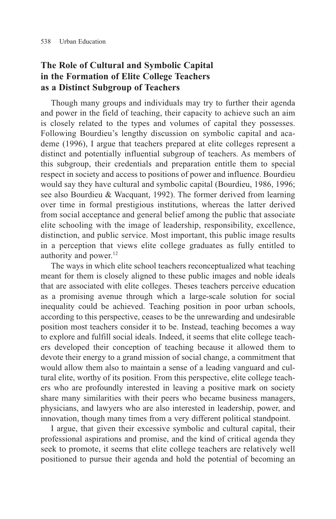## **The Role of Cultural and Symbolic Capital in the Formation of Elite College Teachers as a Distinct Subgroup of Teachers**

Though many groups and individuals may try to further their agenda and power in the field of teaching, their capacity to achieve such an aim is closely related to the types and volumes of capital they possesses. Following Bourdieu's lengthy discussion on symbolic capital and academe (1996), I argue that teachers prepared at elite colleges represent a distinct and potentially influential subgroup of teachers. As members of this subgroup, their credentials and preparation entitle them to special respect in society and access to positions of power and influence. Bourdieu would say they have cultural and symbolic capital (Bourdieu, 1986, 1996; see also Bourdieu & Wacquant, 1992). The former derived from learning over time in formal prestigious institutions, whereas the latter derived from social acceptance and general belief among the public that associate elite schooling with the image of leadership, responsibility, excellence, distinction, and public service. Most important, this public image results in a perception that views elite college graduates as fully entitled to authority and power.<sup>12</sup>

The ways in which elite school teachers reconceptualized what teaching meant for them is closely aligned to these public images and noble ideals that are associated with elite colleges. Theses teachers perceive education as a promising avenue through which a large-scale solution for social inequality could be achieved. Teaching position in poor urban schools, according to this perspective, ceases to be the unrewarding and undesirable position most teachers consider it to be. Instead, teaching becomes a way to explore and fulfill social ideals. Indeed, it seems that elite college teachers developed their conception of teaching because it allowed them to devote their energy to a grand mission of social change, a commitment that would allow them also to maintain a sense of a leading vanguard and cultural elite, worthy of its position. From this perspective, elite college teachers who are profoundly interested in leaving a positive mark on society share many similarities with their peers who became business managers, physicians, and lawyers who are also interested in leadership, power, and innovation, though many times from a very different political standpoint.

I argue, that given their excessive symbolic and cultural capital, their professional aspirations and promise, and the kind of critical agenda they seek to promote, it seems that elite college teachers are relatively well positioned to pursue their agenda and hold the potential of becoming an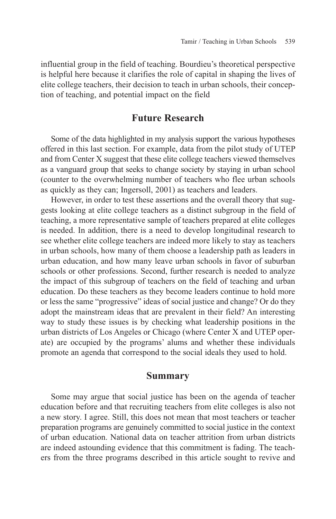influential group in the field of teaching. Bourdieu's theoretical perspective is helpful here because it clarifies the role of capital in shaping the lives of elite college teachers, their decision to teach in urban schools, their conception of teaching, and potential impact on the field

### **Future Research**

Some of the data highlighted in my analysis support the various hypotheses offered in this last section. For example, data from the pilot study of UTEP and from Center X suggest that these elite college teachers viewed themselves as a vanguard group that seeks to change society by staying in urban school (counter to the overwhelming number of teachers who flee urban schools as quickly as they can; Ingersoll, 2001) as teachers and leaders.

However, in order to test these assertions and the overall theory that suggests looking at elite college teachers as a distinct subgroup in the field of teaching, a more representative sample of teachers prepared at elite colleges is needed. In addition, there is a need to develop longitudinal research to see whether elite college teachers are indeed more likely to stay as teachers in urban schools, how many of them choose a leadership path as leaders in urban education, and how many leave urban schools in favor of suburban schools or other professions. Second, further research is needed to analyze the impact of this subgroup of teachers on the field of teaching and urban education. Do these teachers as they become leaders continue to hold more or less the same "progressive" ideas of social justice and change? Or do they adopt the mainstream ideas that are prevalent in their field? An interesting way to study these issues is by checking what leadership positions in the urban districts of Los Angeles or Chicago (where Center X and UTEP operate) are occupied by the programs' alums and whether these individuals promote an agenda that correspond to the social ideals they used to hold.

#### **Summary**

Some may argue that social justice has been on the agenda of teacher education before and that recruiting teachers from elite colleges is also not a new story. I agree. Still, this does not mean that most teachers or teacher preparation programs are genuinely committed to social justice in the context of urban education. National data on teacher attrition from urban districts are indeed astounding evidence that this commitment is fading. The teachers from the three programs described in this article sought to revive and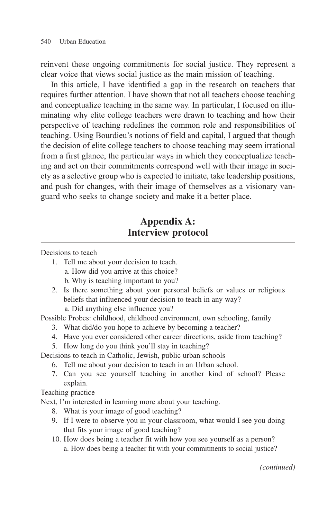reinvent these ongoing commitments for social justice. They represent a clear voice that views social justice as the main mission of teaching.

In this article, I have identified a gap in the research on teachers that requires further attention. I have shown that not all teachers choose teaching and conceptualize teaching in the same way. In particular, I focused on illuminating why elite college teachers were drawn to teaching and how their perspective of teaching redefines the common role and responsibilities of teaching. Using Bourdieu's notions of field and capital, I argued that though the decision of elite college teachers to choose teaching may seem irrational from a first glance, the particular ways in which they conceptualize teaching and act on their commitments correspond well with their image in society as a selective group who is expected to initiate, take leadership positions, and push for changes, with their image of themselves as a visionary vanguard who seeks to change society and make it a better place.

## **Appendix A: Interview protocol**

Decisions to teach

- 1. Tell me about your decision to teach. a. How did you arrive at this choice? b. Why is teaching important to you?
- 2. Is there something about your personal beliefs or values or religious beliefs that influenced your decision to teach in any way? a. Did anything else influence you?

Possible Probes: childhood, childhood environment, own schooling, family

- 3. What did/do you hope to achieve by becoming a teacher?
- 4. Have you ever considered other career directions, aside from teaching?
- 5. How long do you think you'll stay in teaching?

Decisions to teach in Catholic, Jewish, public urban schools

- 6. Tell me about your decision to teach in an Urban school.
- 7. Can you see yourself teaching in another kind of school? Please explain.

Teaching practice

Next, I'm interested in learning more about your teaching.

- 8. What is your image of good teaching?
- 9. If I were to observe you in your classroom, what would I see you doing that fits your image of good teaching?
- 10. How does being a teacher fit with how you see yourself as a person? a. How does being a teacher fit with your commitments to social justice?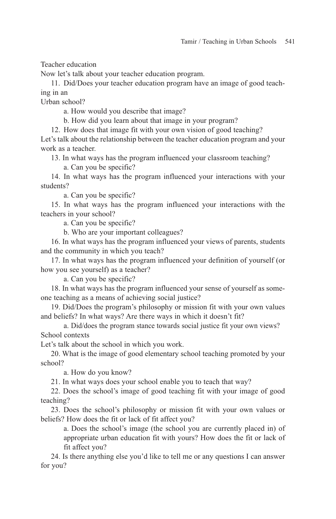Teacher education

Now let's talk about your teacher education program.

11. Did/Does your teacher education program have an image of good teaching in an

Urban school?

a. How would you describe that image?

b. How did you learn about that image in your program?

12. How does that image fit with your own vision of good teaching?

Let's talk about the relationship between the teacher education program and your work as a teacher.

13. In what ways has the program influenced your classroom teaching?

a. Can you be specific?

14. In what ways has the program influenced your interactions with your students?

a. Can you be specific?

15. In what ways has the program influenced your interactions with the teachers in your school?

a. Can you be specific?

b. Who are your important colleagues?

16. In what ways has the program influenced your views of parents, students and the community in which you teach?

17. In what ways has the program influenced your definition of yourself (or how you see yourself) as a teacher?

a. Can you be specific?

18. In what ways has the program influenced your sense of yourself as someone teaching as a means of achieving social justice?

19. Did/Does the program's philosophy or mission fit with your own values and beliefs? In what ways? Are there ways in which it doesn't fit?

a. Did/does the program stance towards social justice fit your own views? School contexts

Let's talk about the school in which you work.

20. What is the image of good elementary school teaching promoted by your school?

a. How do you know?

21. In what ways does your school enable you to teach that way?

22. Does the school's image of good teaching fit with your image of good teaching?

23. Does the school's philosophy or mission fit with your own values or beliefs? How does the fit or lack of fit affect you?

a. Does the school's image (the school you are currently placed in) of appropriate urban education fit with yours? How does the fit or lack of fit affect you?

24. Is there anything else you'd like to tell me or any questions I can answer for you?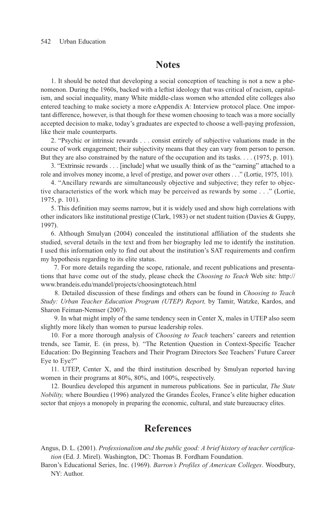### **Notes**

1. It should be noted that developing a social conception of teaching is not a new a phenomenon. During the 1960s, backed with a leftist ideology that was critical of racism, capitalism, and social inequality, many White middle-class women who attended elite colleges also entered teaching to make society a more eAppendix A: Interview protocol place. One important difference, however, is that though for these women choosing to teach was a more socially accepted decision to make, today's graduates are expected to choose a well-paying profession, like their male counterparts.

2. "Psychic or intrinsic rewards . . . consist entirely of subjective valuations made in the course of work engagement; their subjectivity means that they can vary from person to person. But they are also constrained by the nature of the occupation and its tasks. . . . (1975, p. 101).

3. "Extrinsic rewards . . . [include] what we usually think of as the "earning" attached to a role and involves money income, a level of prestige, and power over others . . ." (Lortie, 1975, 101).

4. "Ancillary rewards are simultaneously objective and subjective; they refer to objective characteristics of the work which may be perceived as rewards by some . . ." (Lortie, 1975, p. 101).

5. This definition may seems narrow, but it is widely used and show high correlations with other indicators like institutional prestige (Clark, 1983) or net student tuition (Davies & Guppy, 1997).

6. Although Smulyan (2004) concealed the institutional affiliation of the students she studied, several details in the text and from her biography led me to identify the institution. I used this information only to find out about the institution's SAT requirements and confirm my hypothesis regarding to its elite status.

 7. For more details regarding the scope, rationale, and recent publications and presentations that have come out of the study, please check the *Choosing to Teach* Web site: http:// www.brandeis.edu/mandel/projects/choosingtoteach.html

 8. Detailed discussion of these findings and others can be found in *Choosing to Teach Study: Urban Teacher Education Program (UTEP) Report,* by Tamir, Watzke, Kardos, and Sharon Feiman-Nemser (2007).

 9. In what might imply of the same tendency seen in Center X, males in UTEP also seem slightly more likely than women to pursue leadership roles.

10. For a more thorough analysis of *Choosing to Teach* teachers' careers and retention trends, see Tamir, E. (in press, b). "The Retention Question in Context-Specific Teacher Education: Do Beginning Teachers and Their Program Directors See Teachers' Future Career Eye to Eye?"

11. UTEP, Center X, and the third institution described by Smulyan reported having women in their programs at 80%, 80%, and 100%, respectively.

12. Bourdieu developed this argument in numerous publications. See in particular, *The State Nobility,* where Bourdieu (1996) analyzed the Grandes Écoles, France's elite higher education sector that enjoys a monopoly in preparing the economic, cultural, and state bureaucracy elites.

## **References**

Angus, D. L. (2001). *Professionalism and the public good: A brief history of teacher certification* (Ed. J. Mirel). Washington, DC: Thomas B. Fordham Foundation.

Baron's Educational Series, Inc. (1969). *Barron's Profiles of American Colleges*. Woodbury, NY: Author.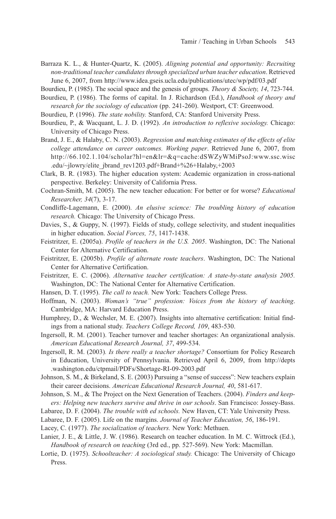- Barraza K. L., & Hunter-Quartz, K. (2005). *Aligning potential and opportunity: Recruiting non-traditional teacher candidates through specialized urban teacher education*. Retrieved June 6, 2007, from http://www.idea.gseis.ucla.edu/publications/utec/wp/pdf/03.pdf
- Bourdieu, P. (1985). The social space and the genesis of groups. *Theory & Society, 14*, 723-744.
- Bourdieu, P. (1986). The forms of capital. In J. Richardson (Ed.), *Handbook of theory and research for the sociology of education* (pp. 241-260). Westport, CT: Greenwood.
- Bourdieu, P. (1996). *The state nobility.* Stanford, CA: Stanford University Press.
- Bourdieu, P., & Wacquant, L. J. D. (1992). *An introduction to reflexive sociology.* Chicago: University of Chicago Press.
- Brand, J. E., & Halaby, C. N. (2003). *Regression and matching estimates of the effects of elite college attendance on career outcomes. Working paper*. Retrieved June 6, 2007, from http://66.102.1.104/scholar?hl=en&lr=&q=cache:dSWZyWMiPsoJ:www.ssc.wisc .edu/~jlowry/elite\_jbrand\_rev1203.pdf+Brand+%26+Halaby,+2003
- Clark, B. R. (1983). The higher education system: Academic organization in cross-national perspective. Berkeley: University of California Press.
- Cochran-Smith, M. (2005). The new teacher education: For better or for worse? *Educational Researcher, 34*(7), 3-17.
- Condliffe-Lagemann, E. (2000). *An elusive science: The troubling history of education research.* Chicago: The University of Chicago Press.
- Davies, S., & Guppy, N. (1997). Fields of study, college selectivity, and student inequalities in higher education. *Social Forces, 75*, 1417-1438.
- Feistritzer, E. (2005a). *Profile of teachers in the U.S. 2005*. Washington, DC: The National Center for Alternative Certification.
- Feistritzer, E. (2005b). *Profile of alternate route teachers*. Washington, DC: The National Center for Alternative Certification.
- Feistritzer, E. C. (2006). *Alternative teacher certification: A state-by-state analysis 2005.* Washington, DC: The National Center for Alternative Certification.
- Hansen, D. T. (1995). *The call to teach.* New York: Teachers College Press.
- Hoffman, N. (2003). *Woman's "true" profession: Voices from the history of teaching*. Cambridge, MA: Harvard Education Press.
- Humphrey, D., & Wechsler, M. E. (2007). Insights into alternative certification: Initial findings from a national study. *Teachers College Record, 109*, 483-530.
- Ingersoll, R. M. (2001). Teacher turnover and teacher shortages: An organizational analysis. *American Educational Research Journal, 37*, 499-534.
- Ingersoll, R. M. (2003)*. Is there really a teacher shortage?* Consortium for Policy Research in Education, University of Pennsylvania. Retrieved April 6, 2009, from http://depts .washington.edu/ctpmail/PDFs/Shortage-RI-09-2003.pdf
- Johnson, S. M., & Birkeland, S. E. (2003) Pursuing a "sense of success": New teachers explain their career decisions. *American Educational Research Journal, 40*, 581-617.
- Johnson, S. M., & The Project on the Next Generation of Teachers. (2004). *Finders and keepers: Helping new teachers survive and thrive in our schools*. San Francisco: Jossey-Bass.
- Labaree, D. F. (2004). *The trouble with ed schools.* New Haven, CT: Yale University Press.
- Labaree, D. F. (2005). Life on the margins. *Journal of Teacher Education, 56*, 186-191.
- Lacey, C. (1977). *The socialization of teachers.* New York: Methuen.
- Lanier, J. E., & Little, J. W. (1986). Research on teacher education. In M. C. Wittrock (Ed.), *Handbook of research on teaching* (3rd ed., pp. 527-569). New York: Macmillan.
- Lortie, D. (1975). *Schoolteacher: A sociological study.* Chicago: The University of Chicago Press.